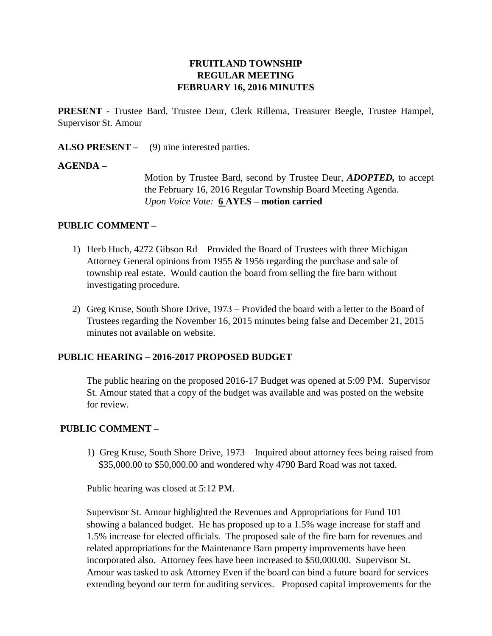# **FRUITLAND TOWNSHIP REGULAR MEETING FEBRUARY 16, 2016 MINUTES**

**PRESENT -** Trustee Bard, Trustee Deur, Clerk Rillema, Treasurer Beegle, Trustee Hampel, Supervisor St. Amour

**ALSO PRESENT –** (9) nine interested parties.

#### **AGENDA –**

Motion by Trustee Bard, second by Trustee Deur, *ADOPTED,* to accept the February 16, 2016 Regular Township Board Meeting Agenda. *Upon Voice Vote:* **6 AYES – motion carried**

#### **PUBLIC COMMENT –**

- 1) Herb Huch, 4272 Gibson Rd Provided the Board of Trustees with three Michigan Attorney General opinions from 1955 & 1956 regarding the purchase and sale of township real estate. Would caution the board from selling the fire barn without investigating procedure.
- 2) Greg Kruse, South Shore Drive, 1973 Provided the board with a letter to the Board of Trustees regarding the November 16, 2015 minutes being false and December 21, 2015 minutes not available on website.

## **PUBLIC HEARING – 2016-2017 PROPOSED BUDGET**

The public hearing on the proposed 2016-17 Budget was opened at 5:09 PM. Supervisor St. Amour stated that a copy of the budget was available and was posted on the website for review.

## **PUBLIC COMMENT –**

1) Greg Kruse, South Shore Drive, 1973 – Inquired about attorney fees being raised from \$35,000.00 to \$50,000.00 and wondered why 4790 Bard Road was not taxed.

Public hearing was closed at 5:12 PM.

Supervisor St. Amour highlighted the Revenues and Appropriations for Fund 101 showing a balanced budget. He has proposed up to a 1.5% wage increase for staff and 1.5% increase for elected officials. The proposed sale of the fire barn for revenues and related appropriations for the Maintenance Barn property improvements have been incorporated also. Attorney fees have been increased to \$50,000.00. Supervisor St. Amour was tasked to ask Attorney Even if the board can bind a future board for services extending beyond our term for auditing services. Proposed capital improvements for the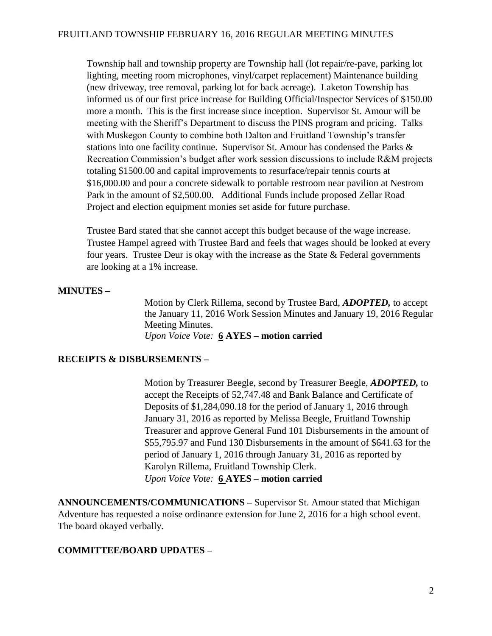Township hall and township property are Township hall (lot repair/re-pave, parking lot lighting, meeting room microphones, vinyl/carpet replacement) Maintenance building (new driveway, tree removal, parking lot for back acreage). Laketon Township has informed us of our first price increase for Building Official/Inspector Services of \$150.00 more a month. This is the first increase since inception. Supervisor St. Amour will be meeting with the Sheriff's Department to discuss the PINS program and pricing. Talks with Muskegon County to combine both Dalton and Fruitland Township's transfer stations into one facility continue. Supervisor St. Amour has condensed the Parks & Recreation Commission's budget after work session discussions to include R&M projects totaling \$1500.00 and capital improvements to resurface/repair tennis courts at \$16,000.00 and pour a concrete sidewalk to portable restroom near pavilion at Nestrom Park in the amount of \$2,500.00. Additional Funds include proposed Zellar Road Project and election equipment monies set aside for future purchase.

Trustee Bard stated that she cannot accept this budget because of the wage increase. Trustee Hampel agreed with Trustee Bard and feels that wages should be looked at every four years. Trustee Deur is okay with the increase as the State  $\&$  Federal governments are looking at a 1% increase.

# **MINUTES –**

Motion by Clerk Rillema, second by Trustee Bard, *ADOPTED,* to accept the January 11, 2016 Work Session Minutes and January 19, 2016 Regular Meeting Minutes. *Upon Voice Vote:* **6 AYES – motion carried**

## **RECEIPTS & DISBURSEMENTS –**

Motion by Treasurer Beegle, second by Treasurer Beegle, *ADOPTED,* to accept the Receipts of 52,747.48 and Bank Balance and Certificate of Deposits of \$1,284,090.18 for the period of January 1, 2016 through January 31, 2016 as reported by Melissa Beegle, Fruitland Township Treasurer and approve General Fund 101 Disbursements in the amount of \$55,795.97 and Fund 130 Disbursements in the amount of \$641.63 for the period of January 1, 2016 through January 31, 2016 as reported by Karolyn Rillema, Fruitland Township Clerk. *Upon Voice Vote:* **6 AYES – motion carried**

**ANNOUNCEMENTS/COMMUNICATIONS –** Supervisor St. Amour stated that Michigan Adventure has requested a noise ordinance extension for June 2, 2016 for a high school event. The board okayed verbally.

# **COMMITTEE/BOARD UPDATES –**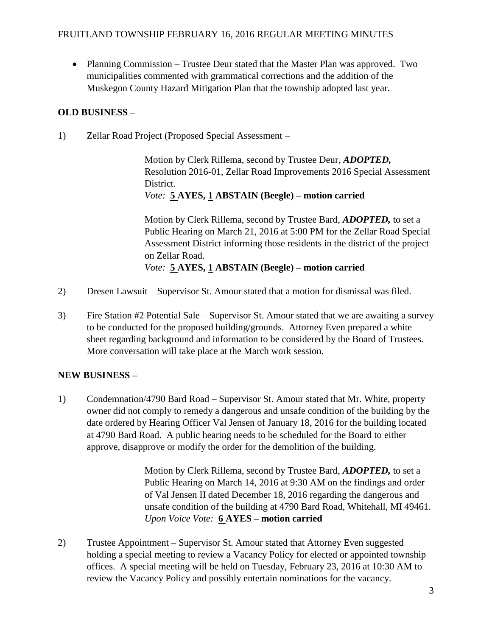• Planning Commission – Trustee Deur stated that the Master Plan was approved. Two municipalities commented with grammatical corrections and the addition of the Muskegon County Hazard Mitigation Plan that the township adopted last year.

# **OLD BUSINESS –**

1) Zellar Road Project (Proposed Special Assessment –

Motion by Clerk Rillema, second by Trustee Deur, *ADOPTED,*  Resolution 2016-01, Zellar Road Improvements 2016 Special Assessment District. *Vote:* **5 AYES, 1 ABSTAIN (Beegle) – motion carried**

Motion by Clerk Rillema, second by Trustee Bard, *ADOPTED,* to set a Public Hearing on March 21, 2016 at 5:00 PM for the Zellar Road Special Assessment District informing those residents in the district of the project on Zellar Road. *Vote:* **5 AYES, 1 ABSTAIN (Beegle) – motion carried**

- 2) Dresen Lawsuit Supervisor St. Amour stated that a motion for dismissal was filed.
- 3) Fire Station #2 Potential Sale Supervisor St. Amour stated that we are awaiting a survey to be conducted for the proposed building/grounds. Attorney Even prepared a white sheet regarding background and information to be considered by the Board of Trustees. More conversation will take place at the March work session.

## **NEW BUSINESS –**

1) Condemnation/4790 Bard Road – Supervisor St. Amour stated that Mr. White, property owner did not comply to remedy a dangerous and unsafe condition of the building by the date ordered by Hearing Officer Val Jensen of January 18, 2016 for the building located at 4790 Bard Road. A public hearing needs to be scheduled for the Board to either approve, disapprove or modify the order for the demolition of the building.

> Motion by Clerk Rillema, second by Trustee Bard, *ADOPTED,* to set a Public Hearing on March 14, 2016 at 9:30 AM on the findings and order of Val Jensen II dated December 18, 2016 regarding the dangerous and unsafe condition of the building at 4790 Bard Road, Whitehall, MI 49461. *Upon Voice Vote:* **6 AYES – motion carried**

2) Trustee Appointment – Supervisor St. Amour stated that Attorney Even suggested holding a special meeting to review a Vacancy Policy for elected or appointed township offices. A special meeting will be held on Tuesday, February 23, 2016 at 10:30 AM to review the Vacancy Policy and possibly entertain nominations for the vacancy.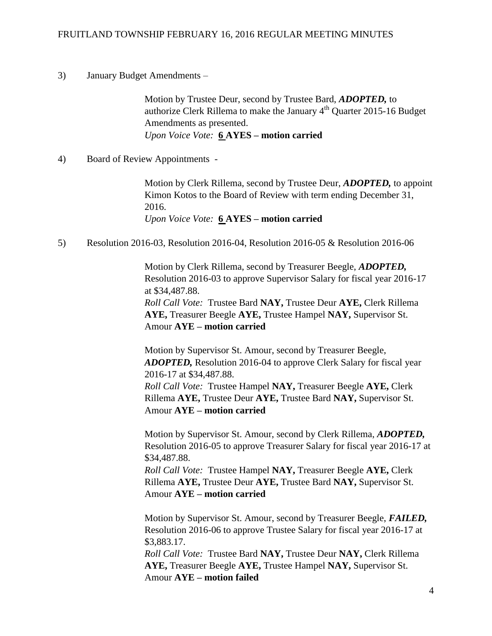#### FRUITLAND TOWNSHIP FEBRUARY 16, 2016 REGULAR MEETING MINUTES

3) January Budget Amendments –

Motion by Trustee Deur, second by Trustee Bard, *ADOPTED,* to authorize Clerk Rillema to make the January  $4<sup>th</sup>$  Quarter 2015-16 Budget Amendments as presented. *Upon Voice Vote:* **6 AYES – motion carried**

4) Board of Review Appointments -

Motion by Clerk Rillema, second by Trustee Deur, *ADOPTED,* to appoint Kimon Kotos to the Board of Review with term ending December 31, 2016. *Upon Voice Vote:* **6 AYES – motion carried**

5) Resolution 2016-03, Resolution 2016-04, Resolution 2016-05 & Resolution 2016-06

Motion by Clerk Rillema, second by Treasurer Beegle, *ADOPTED,*  Resolution 2016-03 to approve Supervisor Salary for fiscal year 2016-17 at \$34,487.88. *Roll Call Vote:* Trustee Bard **NAY,** Trustee Deur **AYE,** Clerk Rillema **AYE,** Treasurer Beegle **AYE,** Trustee Hampel **NAY,** Supervisor St. Amour **AYE – motion carried**

Motion by Supervisor St. Amour, second by Treasurer Beegle, *ADOPTED,* Resolution 2016-04 to approve Clerk Salary for fiscal year 2016-17 at \$34,487.88. *Roll Call Vote:* Trustee Hampel **NAY,** Treasurer Beegle **AYE,** Clerk Rillema **AYE,** Trustee Deur **AYE,** Trustee Bard **NAY,** Supervisor St. Amour **AYE – motion carried**

Motion by Supervisor St. Amour, second by Clerk Rillema, *ADOPTED,*  Resolution 2016-05 to approve Treasurer Salary for fiscal year 2016-17 at \$34,487.88.

*Roll Call Vote:* Trustee Hampel **NAY,** Treasurer Beegle **AYE,** Clerk Rillema **AYE,** Trustee Deur **AYE,** Trustee Bard **NAY,** Supervisor St. Amour **AYE – motion carried**

Motion by Supervisor St. Amour, second by Treasurer Beegle, *FAILED,*  Resolution 2016-06 to approve Trustee Salary for fiscal year 2016-17 at \$3,883.17.

*Roll Call Vote:* Trustee Bard **NAY,** Trustee Deur **NAY,** Clerk Rillema **AYE,** Treasurer Beegle **AYE,** Trustee Hampel **NAY,** Supervisor St. Amour **AYE – motion failed**